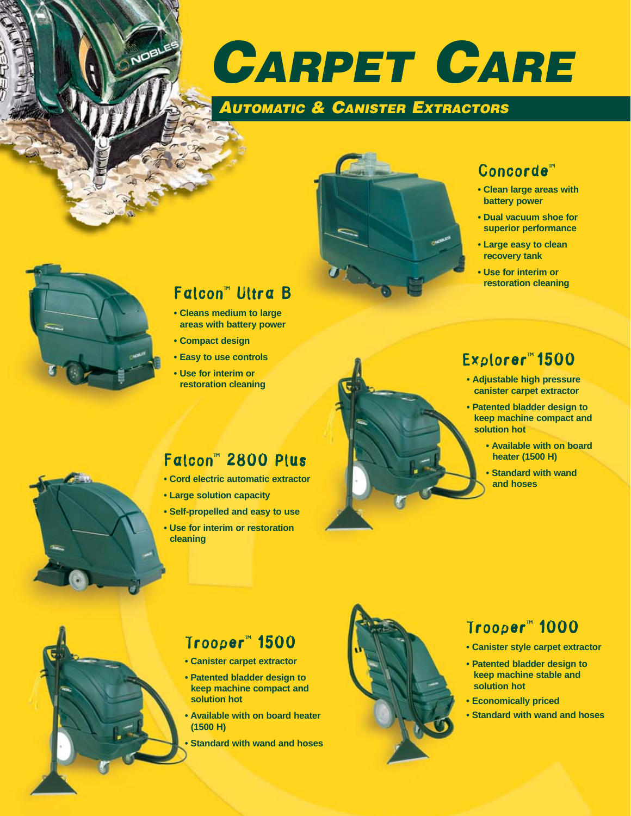

# *AUTOMATIC & CANISTER EXTRACTORS*



### Concorde™

- **Clean large areas with battery power**
- **Dual vacuum shoe for superior performance**
- **Large easy to clean recovery tank**
- **Use for interim or restoration cleaning**



NOE

## Falcon™ Ultra B

- **Cleans medium to large areas with battery power**
- **Compact design**
- **Easy to use controls**
- **Use for interim or restoration cleaning**

#### Falcon™ 2800 Plus

- **Cord electric automatic extractor**
- **Large solution capacity**
- **Self-propelled and easy to use**
- **Use for interim or restoration cleaning**

# Explorer™ 1500

- **Adjustable high pressure canister carpet extractor**
- **Patented bladder design to keep machine compact and solution hot**
	- **Available with on board heater (1500 H)**
	- **Standard with wand and hoses**



## Trooper™ 1500

- **Canister carpet extractor**
- **Patented bladder design to keep machine compact and solution hot**
- **Available with on board heater (1500 H)**
- **Standard with wand and hoses**



## Trooper™ 1000

- **Canister style carpet extractor**
- **Patented bladder design to keep machine stable and solution hot**
- **Economically priced**
- **Standard with wand and hoses**